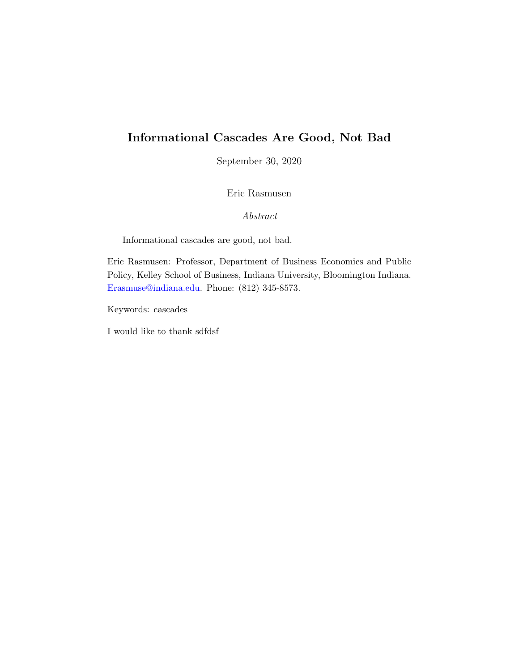# Informational Cascades Are Good, Not Bad

September 30, 2020

Eric Rasmusen

Abstract

Informational cascades are good, not bad.

Eric Rasmusen: Professor, Department of Business Economics and Public Policy, Kelley School of Business, Indiana University, Bloomington Indiana. [Erasmuse@indiana.edu.](mailto:erasmuse@indiana.edu) Phone: (812) 345-8573.

Keywords: cascades

I would like to thank sdfdsf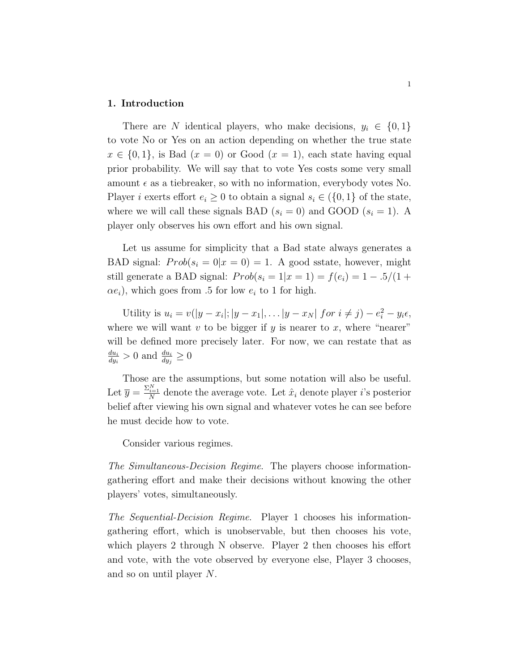#### 1. Introduction

There are N identical players, who make decisions,  $y_i \in \{0, 1\}$ to vote No or Yes on an action depending on whether the true state  $x \in \{0,1\}$ , is Bad  $(x = 0)$  or Good  $(x = 1)$ , each state having equal prior probability. We will say that to vote Yes costs some very small amount  $\epsilon$  as a tiebreaker, so with no information, everybody votes No. Player *i* exerts effort  $e_i \geq 0$  to obtain a signal  $s_i \in (\{0,1\})$  of the state, where we will call these signals BAD  $(s_i = 0)$  and GOOD  $(s_i = 1)$ . A player only observes his own effort and his own signal.

Let us assume for simplicity that a Bad state always generates a BAD signal:  $Prob(s_i = 0 | x = 0) = 1$ . A good sstate, however, might still generate a BAD signal:  $Prob(s_i = 1 | x = 1) = f(e_i) = 1 - .5/(1 +$  $(\alpha e_i)$ , which goes from .5 for low  $e_i$  to 1 for high.

Utility is  $u_i = v(|y - x_i|; |y - x_1|, \dots |y - x_N|)$  for  $i \neq j$ ) –  $e_i^2 - y_i \epsilon$ , where we will want  $v$  to be bigger if  $y$  is nearer to  $x$ , where "nearer" will be defined more precisely later. For now, we can restate that as  $du_i$  $\frac{du_i}{dy_i} > 0$  and  $\frac{du_i}{dy_j} \geq 0$ 

Those are the assumptions, but some notation will also be useful. Let  $\overline{y} = \frac{\Sigma_{i=1}^N}{N}$  denote the average vote. Let  $\hat{x}_i$  denote player *i*'s posterior belief after viewing his own signal and whatever votes he can see before he must decide how to vote.

Consider various regimes.

The Simultaneous-Decision Regime. The players choose informationgathering effort and make their decisions without knowing the other players' votes, simultaneously.

The Sequential-Decision Regime. Player 1 chooses his informationgathering effort, which is unobservable, but then chooses his vote, which players 2 through N observe. Player 2 then chooses his effort and vote, with the vote observed by everyone else, Player 3 chooses, and so on until player N.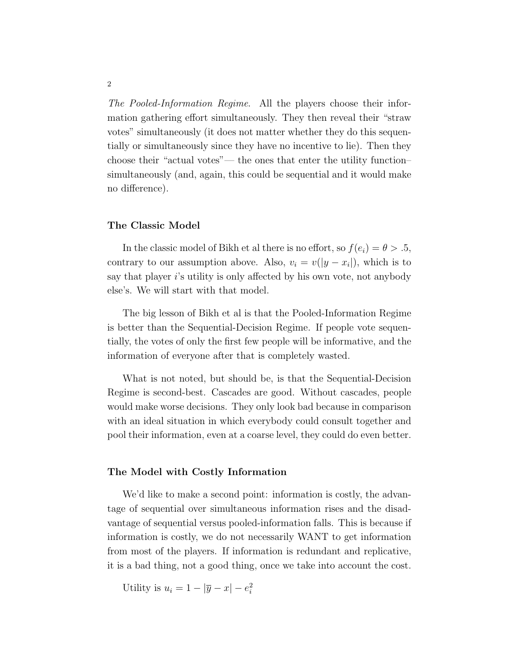The Pooled-Information Regime. All the players choose their information gathering effort simultaneously. They then reveal their "straw votes" simultaneously (it does not matter whether they do this sequentially or simultaneously since they have no incentive to lie). Then they choose their "actual votes"— the ones that enter the utility function– simultaneously (and, again, this could be sequential and it would make no difference).

### The Classic Model

In the classic model of Bikh et al there is no effort, so  $f(e_i) = \theta > .5$ , contrary to our assumption above. Also,  $v_i = v(|y - x_i|)$ , which is to say that player  $i$ 's utility is only affected by his own vote, not anybody else's. We will start with that model.

The big lesson of Bikh et al is that the Pooled-Information Regime is better than the Sequential-Decision Regime. If people vote sequentially, the votes of only the first few people will be informative, and the information of everyone after that is completely wasted.

What is not noted, but should be, is that the Sequential-Decision Regime is second-best. Cascades are good. Without cascades, people would make worse decisions. They only look bad because in comparison with an ideal situation in which everybody could consult together and pool their information, even at a coarse level, they could do even better.

## The Model with Costly Information

We'd like to make a second point: information is costly, the advantage of sequential over simultaneous information rises and the disadvantage of sequential versus pooled-information falls. This is because if information is costly, we do not necessarily WANT to get information from most of the players. If information is redundant and replicative, it is a bad thing, not a good thing, once we take into account the cost.

Utility is  $u_i = 1 - |\overline{y} - x| - e_i^2$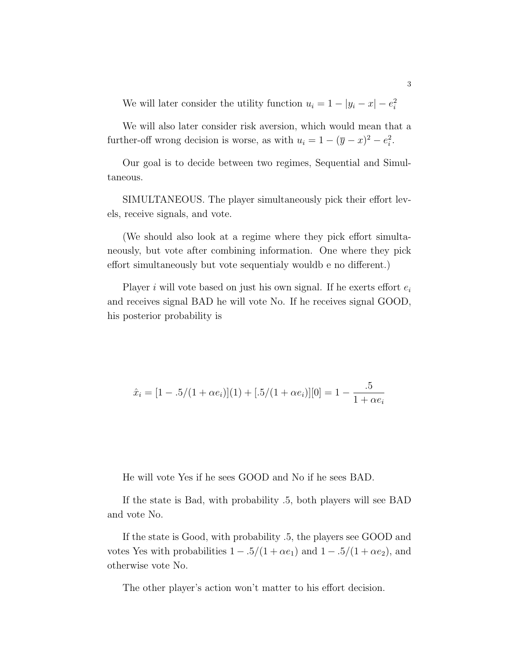We will later consider the utility function  $u_i = 1 - |y_i - x| - e_i^2$ 

We will also later consider risk aversion, which would mean that a further-off wrong decision is worse, as with  $u_i = 1 - (\overline{y} - x)^2 - e_i^2$ .

Our goal is to decide between two regimes, Sequential and Simultaneous.

SIMULTANEOUS. The player simultaneously pick their effort levels, receive signals, and vote.

(We should also look at a regime where they pick effort simultaneously, but vote after combining information. One where they pick effort simultaneously but vote sequentialy wouldb e no different.)

Player i will vote based on just his own signal. If he exerts effort  $e_i$ and receives signal BAD he will vote No. If he receives signal GOOD, his posterior probability is

$$
\hat{x}_i = [1 - .5/(1 + \alpha e_i)](1) + [.5/(1 + \alpha e_i)][0] = 1 - \frac{.5}{1 + \alpha e_i}
$$

He will vote Yes if he sees GOOD and No if he sees BAD.

If the state is Bad, with probability .5, both players will see BAD and vote No.

If the state is Good, with probability .5, the players see GOOD and votes Yes with probabilities  $1 - .5/(1 + \alpha e_1)$  and  $1 - .5/(1 + \alpha e_2)$ , and otherwise vote No.

The other player's action won't matter to his effort decision.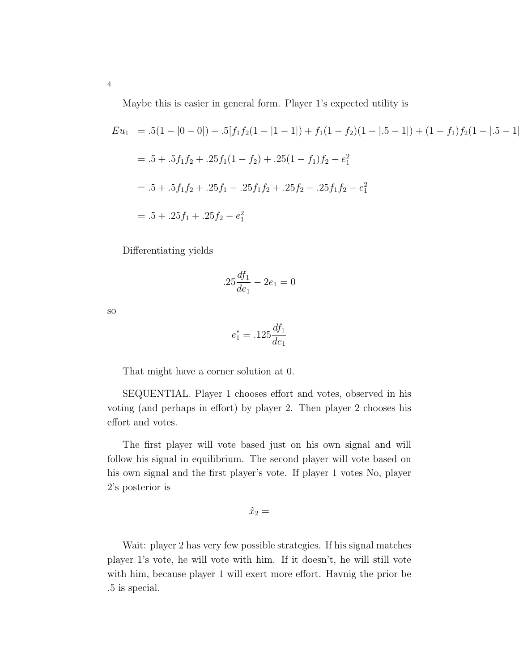Maybe this is easier in general form. Player 1's expected utility is

$$
Eu_1 = .5(1 - |0 - 0|) + .5[f_1f_2(1 - |1 - 1|) + f_1(1 - f_2)(1 - |.5 - 1|) + (1 - f_1)f_2(1 - |.5 - 1|)
$$
  
= .5 + .5f\_1f\_2 + .25f\_1(1 - f\_2) + .25(1 - f\_1)f\_2 - e\_1^2  
= .5 + .5f\_1f\_2 + .25f\_1 - .25f\_1f\_2 + .25f\_2 - .25f\_1f\_2 - e\_1^2  
= .5 + .25f\_1 + .25f\_2 - e\_1^2

Differentiating yields

$$
.25\frac{df_1}{de_1} - 2e_1 = 0
$$

so

$$
e_1^* = .125 \frac{df_1}{de_1}
$$

That might have a corner solution at 0.

SEQUENTIAL. Player 1 chooses effort and votes, observed in his voting (and perhaps in effort) by player 2. Then player 2 chooses his effort and votes.

The first player will vote based just on his own signal and will follow his signal in equilibrium. The second player will vote based on his own signal and the first player's vote. If player 1 votes No, player 2's posterior is

$$
\hat{x}_2 =
$$

Wait: player 2 has very few possible strategies. If his signal matches player 1's vote, he will vote with him. If it doesn't, he will still vote with him, because player 1 will exert more effort. Havnig the prior be .5 is special.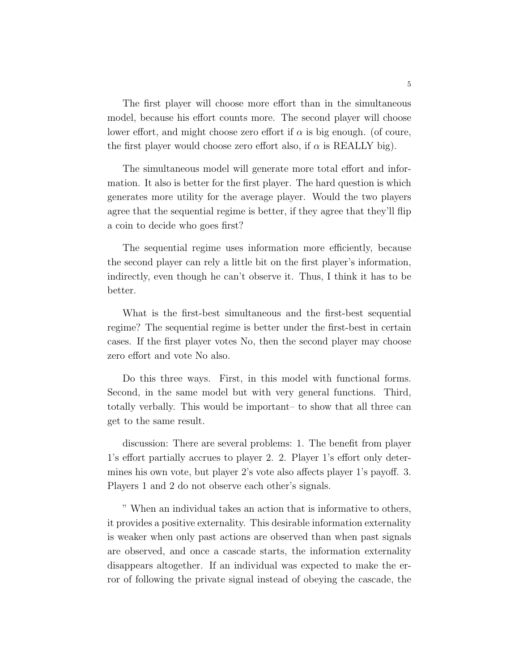The first player will choose more effort than in the simultaneous model, because his effort counts more. The second player will choose lower effort, and might choose zero effort if  $\alpha$  is big enough. (of coure, the first player would choose zero effort also, if  $\alpha$  is REALLY big).

The simultaneous model will generate more total effort and information. It also is better for the first player. The hard question is which generates more utility for the average player. Would the two players agree that the sequential regime is better, if they agree that they'll flip a coin to decide who goes first?

The sequential regime uses information more efficiently, because the second player can rely a little bit on the first player's information, indirectly, even though he can't observe it. Thus, I think it has to be better.

What is the first-best simultaneous and the first-best sequential regime? The sequential regime is better under the first-best in certain cases. If the first player votes No, then the second player may choose zero effort and vote No also.

Do this three ways. First, in this model with functional forms. Second, in the same model but with very general functions. Third, totally verbally. This would be important– to show that all three can get to the same result.

discussion: There are several problems: 1. The benefit from player 1's effort partially accrues to player 2. 2. Player 1's effort only determines his own vote, but player 2's vote also affects player 1's payoff. 3. Players 1 and 2 do not observe each other's signals.

" When an individual takes an action that is informative to others, it provides a positive externality. This desirable information externality is weaker when only past actions are observed than when past signals are observed, and once a cascade starts, the information externality disappears altogether. If an individual was expected to make the error of following the private signal instead of obeying the cascade, the